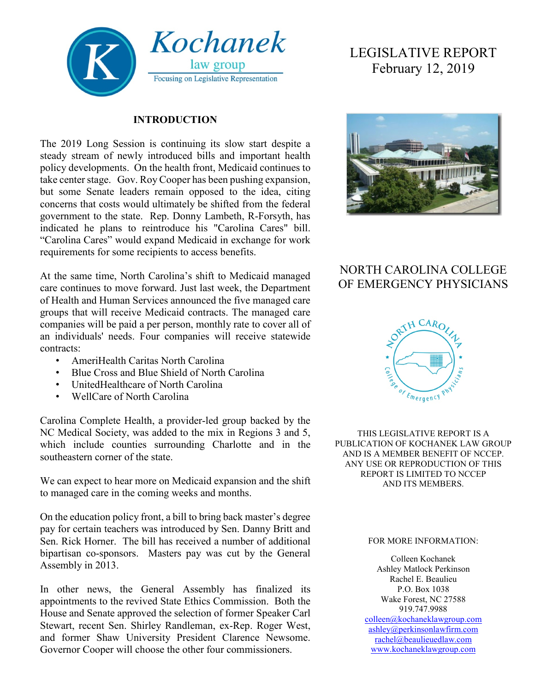

#### **INTRODUCTION**

The 2019 Long Session is continuing its slow start despite a steady stream of newly introduced bills and important health policy developments. On the health front, Medicaid continues to take center stage. Gov. Roy Cooper has been pushing expansion, but some Senate leaders remain opposed to the idea, citing concerns that costs would ultimately be shifted from the federal government to the state. Rep. Donny Lambeth, R-Forsyth, has indicated he plans to reintroduce his "Carolina Cares" bill. "Carolina Cares" would expand Medicaid in exchange for work requirements for some recipients to access benefits.

At the same time, North Carolina's shift to Medicaid managed care continues to move forward. Just last week, the Department of Health and Human Services announced the five managed care groups that will receive Medicaid contracts. The managed care companies will be paid a per person, monthly rate to cover all of an individuals' needs. Four companies will receive statewide contracts:

- AmeriHealth Caritas North Carolina
- Blue Cross and Blue Shield of North Carolina
- UnitedHealthcare of North Carolina
- WellCare of North Carolina

Carolina Complete Health, a provider-led group backed by the NC Medical Society, was added to the mix in Regions 3 and 5, which include counties surrounding Charlotte and in the southeastern corner of the state.

We can expect to hear more on Medicaid expansion and the shift to managed care in the coming weeks and months.

On the education policy front, a bill to bring back master's degree pay for certain teachers was introduced by Sen. Danny Britt and Sen. Rick Horner. The bill has received a number of additional bipartisan co-sponsors. Masters pay was cut by the General Assembly in 2013.

In other news, the General Assembly has finalized its appointments to the revived State Ethics Commission. Both the House and Senate approved the selection of former Speaker Carl Stewart, recent Sen. Shirley Randleman, ex-Rep. Roger West, and former Shaw University President Clarence Newsome. Governor Cooper will choose the other four commissioners.

# LEGISLATIVE REPORT February 12, 2019



## NORTH CAROLINA COLLEGE OF EMERGENCY PHYSICIANS



THIS LEGISLATIVE REPORT IS A PUBLICATION OF KOCHANEK LAW GROUP AND IS A MEMBER BENEFIT OF NCCEP. ANY USE OR REPRODUCTION OF THIS REPORT IS LIMITED TO NCCEP AND ITS MEMBERS.

#### FOR MORE INFORMATION:

Colleen Kochanek Ashley Matlock Perkinson Rachel E. Beaulieu P.O. Box 1038 Wake Forest, NC 27588 919.747.9988 [colleen@kochaneklawgroup.com](mailto:colleen@kochaneklawgroup.com) [ashley@perkinsonlawfirm.com](mailto:ashley@perkinsonlawfirm.com) [rachel@beaulieuedlaw.com](mailto:rachel@beaulieuedlaw.com) [www.kochaneklawgroup.com](http://www.kochaneklawgroup.com/)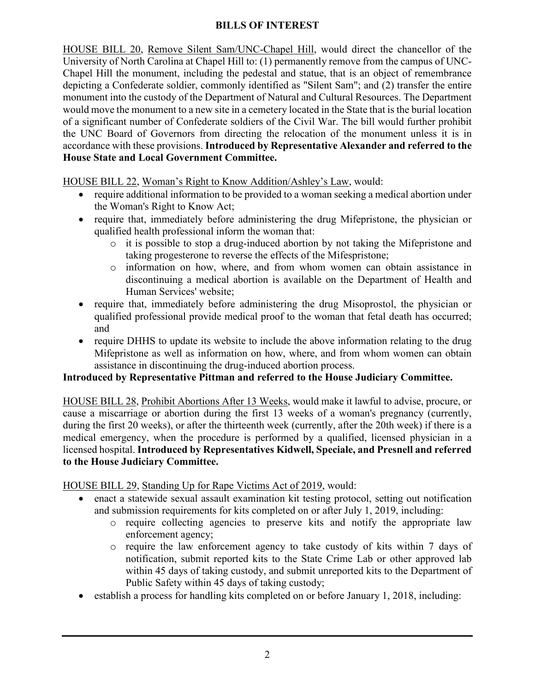#### **BILLS OF INTEREST**

HOUSE BILL 20, Remove Silent Sam/UNC-Chapel Hill, would direct the chancellor of the University of North Carolina at Chapel Hill to: (1) permanently remove from the campus of UNC-Chapel Hill the monument, including the pedestal and statue, that is an object of remembrance depicting a Confederate soldier, commonly identified as "Silent Sam"; and (2) transfer the entire monument into the custody of the Department of Natural and Cultural Resources. The Department would move the monument to a new site in a cemetery located in the State that is the burial location of a significant number of Confederate soldiers of the Civil War. The bill would further prohibit the UNC Board of Governors from directing the relocation of the monument unless it is in accordance with these provisions. **Introduced by Representative Alexander and referred to the House State and Local Government Committee.**

HOUSE BILL 22, Woman's Right to Know Addition/Ashley's Law, would:

- require additional information to be provided to a woman seeking a medical abortion under the Woman's Right to Know Act;
- require that, immediately before administering the drug Mifepristone, the physician or qualified health professional inform the woman that:
	- o it is possible to stop a drug-induced abortion by not taking the Mifepristone and taking progesterone to reverse the effects of the Mifespristone;
	- o information on how, where, and from whom women can obtain assistance in discontinuing a medical abortion is available on the Department of Health and Human Services' website;
- require that, immediately before administering the drug Misoprostol, the physician or qualified professional provide medical proof to the woman that fetal death has occurred; and
- require DHHS to update its website to include the above information relating to the drug Mifepristone as well as information on how, where, and from whom women can obtain assistance in discontinuing the drug-induced abortion process.

#### **Introduced by Representative Pittman and referred to the House Judiciary Committee.**

HOUSE BILL 28, Prohibit Abortions After 13 Weeks, would make it lawful to advise, procure, or cause a miscarriage or abortion during the first 13 weeks of a woman's pregnancy (currently, during the first 20 weeks), or after the thirteenth week (currently, after the 20th week) if there is a medical emergency, when the procedure is performed by a qualified, licensed physician in a licensed hospital. **Introduced by Representatives Kidwell, Speciale, and Presnell and referred to the House Judiciary Committee.**

HOUSE BILL 29, Standing Up for Rape Victims Act of 2019, would:

- enact a statewide sexual assault examination kit testing protocol, setting out notification and submission requirements for kits completed on or after July 1, 2019, including:
	- o require collecting agencies to preserve kits and notify the appropriate law enforcement agency;
	- o require the law enforcement agency to take custody of kits within 7 days of notification, submit reported kits to the State Crime Lab or other approved lab within 45 days of taking custody, and submit unreported kits to the Department of Public Safety within 45 days of taking custody;
- establish a process for handling kits completed on or before January 1, 2018, including: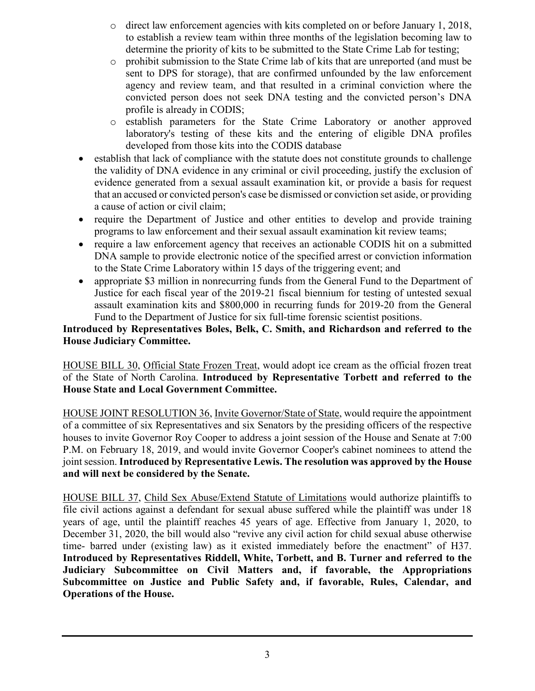- $\circ$  direct law enforcement agencies with kits completed on or before January 1, 2018, to establish a review team within three months of the legislation becoming law to determine the priority of kits to be submitted to the State Crime Lab for testing;
- o prohibit submission to the State Crime lab of kits that are unreported (and must be sent to DPS for storage), that are confirmed unfounded by the law enforcement agency and review team, and that resulted in a criminal conviction where the convicted person does not seek DNA testing and the convicted person's DNA profile is already in CODIS;
- o establish parameters for the State Crime Laboratory or another approved laboratory's testing of these kits and the entering of eligible DNA profiles developed from those kits into the CODIS database
- establish that lack of compliance with the statute does not constitute grounds to challenge the validity of DNA evidence in any criminal or civil proceeding, justify the exclusion of evidence generated from a sexual assault examination kit, or provide a basis for request that an accused or convicted person's case be dismissed or conviction set aside, or providing a cause of action or civil claim;
- require the Department of Justice and other entities to develop and provide training programs to law enforcement and their sexual assault examination kit review teams;
- require a law enforcement agency that receives an actionable CODIS hit on a submitted DNA sample to provide electronic notice of the specified arrest or conviction information to the State Crime Laboratory within 15 days of the triggering event; and
- appropriate \$3 million in nonrecurring funds from the General Fund to the Department of Justice for each fiscal year of the 2019-21 fiscal biennium for testing of untested sexual assault examination kits and \$800,000 in recurring funds for 2019-20 from the General Fund to the Department of Justice for six full-time forensic scientist positions.

#### **Introduced by Representatives Boles, Belk, C. Smith, and Richardson and referred to the House Judiciary Committee.**

HOUSE BILL 30, Official State Frozen Treat, would adopt ice cream as the official frozen treat of the State of North Carolina. **Introduced by Representative Torbett and referred to the House State and Local Government Committee.**

HOUSE JOINT RESOLUTION 36, Invite Governor/State of State, would require the appointment of a committee of six Representatives and six Senators by the presiding officers of the respective houses to invite Governor Roy Cooper to address a joint session of the House and Senate at 7:00 P.M. on February 18, 2019, and would invite Governor Cooper's cabinet nominees to attend the joint session. **Introduced by Representative Lewis. The resolution was approved by the House and will next be considered by the Senate.**

HOUSE BILL 37, Child Sex Abuse/Extend Statute of Limitations would authorize plaintiffs to file civil actions against a defendant for sexual abuse suffered while the plaintiff was under 18 years of age, until the plaintiff reaches 45 years of age. Effective from January 1, 2020, to December 31, 2020, the bill would also "revive any civil action for child sexual abuse otherwise time- barred under (existing law) as it existed immediately before the enactment" of H37. **Introduced by Representatives Riddell, White, Torbett, and B. Turner and referred to the Judiciary Subcommittee on Civil Matters and, if favorable, the Appropriations Subcommittee on Justice and Public Safety and, if favorable, Rules, Calendar, and Operations of the House.**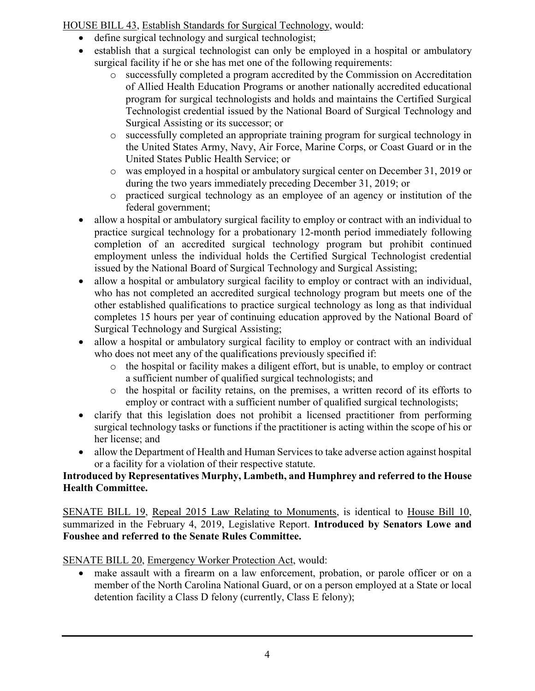HOUSE BILL 43, Establish Standards for Surgical Technology, would:

- define surgical technology and surgical technologist;
- establish that a surgical technologist can only be employed in a hospital or ambulatory surgical facility if he or she has met one of the following requirements:
	- o successfully completed a program accredited by the Commission on Accreditation of Allied Health Education Programs or another nationally accredited educational program for surgical technologists and holds and maintains the Certified Surgical Technologist credential issued by the National Board of Surgical Technology and Surgical Assisting or its successor; or
	- o successfully completed an appropriate training program for surgical technology in the United States Army, Navy, Air Force, Marine Corps, or Coast Guard or in the United States Public Health Service; or
	- o was employed in a hospital or ambulatory surgical center on December 31, 2019 or during the two years immediately preceding December 31, 2019; or
	- o practiced surgical technology as an employee of an agency or institution of the federal government;
- allow a hospital or ambulatory surgical facility to employ or contract with an individual to practice surgical technology for a probationary 12-month period immediately following completion of an accredited surgical technology program but prohibit continued employment unless the individual holds the Certified Surgical Technologist credential issued by the National Board of Surgical Technology and Surgical Assisting;
- allow a hospital or ambulatory surgical facility to employ or contract with an individual, who has not completed an accredited surgical technology program but meets one of the other established qualifications to practice surgical technology as long as that individual completes 15 hours per year of continuing education approved by the National Board of Surgical Technology and Surgical Assisting;
- allow a hospital or ambulatory surgical facility to employ or contract with an individual who does not meet any of the qualifications previously specified if:
	- o the hospital or facility makes a diligent effort, but is unable, to employ or contract a sufficient number of qualified surgical technologists; and
	- o the hospital or facility retains, on the premises, a written record of its efforts to employ or contract with a sufficient number of qualified surgical technologists;
- clarify that this legislation does not prohibit a licensed practitioner from performing surgical technology tasks or functions if the practitioner is acting within the scope of his or her license; and
- allow the Department of Health and Human Services to take adverse action against hospital or a facility for a violation of their respective statute.

#### **Introduced by Representatives Murphy, Lambeth, and Humphrey and referred to the House Health Committee.**

SENATE BILL 19, Repeal 2015 Law Relating to Monuments, is identical to House Bill 10, summarized in the February 4, 2019, Legislative Report. **Introduced by Senators Lowe and Foushee and referred to the Senate Rules Committee.**

### SENATE BILL 20, Emergency Worker Protection Act, would:

• make assault with a firearm on a law enforcement, probation, or parole officer or on a member of the North Carolina National Guard, or on a person employed at a State or local detention facility a Class D felony (currently, Class E felony);